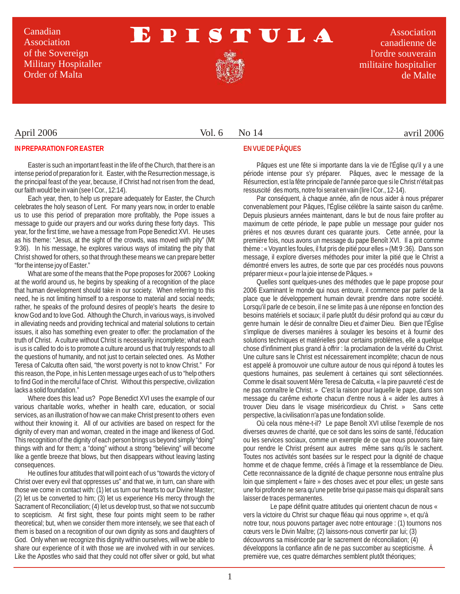Canadian Association of the Sovereign Military Hospitaller Order of Malta

# EPISTULA

Association canadienne de l'ordre souverain militaire hospitalier de Malte

### April 2006

#### Vol. 6 No 14

#### avril 2006

#### **IN PREPARATION FOR EASTER**

Easter is such an important feast in the life of the Church, that there is an intense period of preparation for it. Easter, with the Resurrection message, is the principal feast of the year, because, if Christ had not risen from the dead, our faith would be in vain (see I Cor., 12:14).

Each year, then, to help us prepare adequately for Easter, the Church celebrates the holy season of Lent. For many years now, in order to enable us to use this period of preparation more profitably, the Pope issues a message to guide our prayers and our works during these forty days. This year, for the first time, we have a message from Pope Benedict XVI. He uses as his theme: "Jesus, at the sight of the crowds, was moved with pity" (Mt 9:36). In his message, he explores various ways of imitating the pity that Christ showed for others, so that through these means we can prepare better "for the intense joy of Easter."

What are some of the means that the Pope proposes for 2006? Looking at the world around us, he begins by speaking of a recognition of the place that human development should take in our society. When referring to this need, he is not limiting himself to a response to material and social needs; rather, he speaks of the profound desires of people's hearts the desire to know God and to love God. Although the Church, in various ways, is involved in alleviating needs and providing technical and material solutions to certain issues, it also has something even greater to offer: the proclamation of the truth of Christ. A culture without Christ is necessarily incomplete; what each is us is called to do is to promote a culture around us that truly responds to all the questions of humanity, and not just to certain selected ones. As Mother Teresa of Calcutta often said, "the worst poverty is not to know Christ." For this reason, the Pope, in his Lenten message urges each of us to "help others to find God in the merciful face of Christ. Without this perspective, civilization lacks a solid foundation."

Where does this lead us? Pope Benedict XVI uses the example of our various charitable works, whether in health care, education, or social services, as an illustration of how we can make Christ present to others even without their knowing it. All of our activities are based on respect for the dignity of every man and woman, created in the image and likeness of God. This recognition of the dignity of each person brings us beyond simply "doing" things with and for them; a "doing" without a strong "believing" will become like a gentle breeze that blows, but then disappears without leaving lasting consequences.

He outlines four attitudes that will point each of us "towards the victory of Christ over every evil that oppresses us" and that we, in turn, can share with those we come in contact with: (1) let us turn our hearts to our Divine Master; (2) let us be converted to him; (3) let us experience His mercy through the Sacrament of Reconciliation; (4) let us develop trust, so that we not succumb to scepticism. At first sight, these four points might seem to be rather theoretical; but, when we consider them more intensely, we see that each of them is based on a recognition of our own dignity as sons and daughters of God. Only when we recognize this dignity within ourselves, will we be able to share our experience of it with those we are involved with in our services. Like the Apostles who said that they could not offer silver or gold, but what

#### **EN VUE DE PÂQUES**

Pâques est une fête si importante dans la vie de l'Église qu'il y a une période intense pour s'y préparer. Pâques, avec le message de la Résurrection, est la fête principale de l'année parce que si le Christ n'était pas ressuscité des morts, notre foi serait en vain (lire I Cor., 12-14).

Par conséquent, à chaque année, afin de nous aider à nous préparer convenablement pour Pâques, l'Église célèbre la sainte saison du carême. Depuis plusieurs années maintenant, dans le but de nous faire profiter au maximum de cette période, le pape publie un message pour guider nos prières et nos œuvres durant ces quarante jours. Cette année, pour la première fois, nous avons un message du pape Benoît XVI. Il a prit comme thème : « Voyant les foules, il fut pris de pitié pour elles » (Mt 9 :36). Dans son message, il explore diverses méthodes pour imiter la pitié que le Christ a démontré envers les autres, de sorte que par ces procédés nous pouvons préparer mieux « pour la joie intense de Pâques. »

Quelles sont quelques-unes des méthodes que le pape propose pour 2006 Examinant le monde qui nous entoure, il commence par parler de la place que le développement humain devrait prendre dans notre société. Lorsqu'il parle de ce besoin, il ne se limite pas à une réponse en fonction des besoins matériels et sociaux; il parle plutôt du désir profond qui au cœur du genre humain le désir de connaître Dieu et d'aimer Dieu. Bien que l'Église s'implique de diverses manières à soulager les besoins et à fournir des solutions techniques et matérielles pour certains problèmes, elle a quelque chose d'infiniment plus grand à offrir : la proclamation de la vérité du Christ. Une culture sans le Christ est nécessairement incomplète; chacun de nous est appelé à promouvoir une culture autour de nous qui répond à toutes les questions humaines, pas seulement à certaines qui sont sélectionnées. Comme le disait souvent Mère Teresa de Calcutta, « la pire pauvreté c'est de ne pas connaître le Christ. » C'est la raison pour laquelle le pape, dans son message du carême exhorte chacun d'entre nous à « aider les autres à trouver Dieu dans le visage miséricordieux du Christ. » Sans cette perspective, la civilisation n'a pas une fondation solide.

Où cela nous mène-t-il? Le pape Benoît XVI utilise l'exemple de nos diverses œuvres de charité, que ce soit dans les soins de santé, l'éducation ou les services sociaux, comme un exemple de ce que nous pouvons faire pour rendre le Christ présent aux autres même sans qu'ils le sachent. Toutes nos activités sont basées sur le respect pour la dignité de chaque homme et de chaque femme, créés à l'image et la ressemblance de Dieu. Cette reconnaissance de la dignité de chaque personne nous entraîne plus loin que simplement « faire » des choses avec et pour elles; un geste sans une foi profonde ne sera qu'une petite brise qui passe mais qui disparaît sans laisser de traces permanentes.

Le pape définit quatre attitudes qui orientent chacun de nous « vers la victoire du Christ sur chaque fléau qui nous opprime », et qu'à notre tour, nous pouvons partager avec notre entourage : (1) tournons nos cœurs vers le Divin Maître; (2) laissons-nous convertir par lui; (3) découvrons sa miséricorde par le sacrement de réconciliation; (4) développons la confiance afin de ne pas succomber au scepticisme. À première vue, ces quatre démarches semblent plutôt théoriques;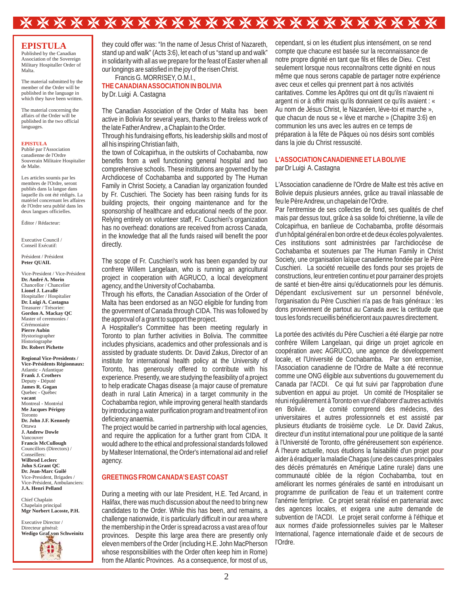# \*\*\*\*\*\*\*\*\*\*\*\*\*\*\*\*\*\*\*\*\*\*\*\*

#### **EPISTULA**

Published by the Canadian Association of the Sovereign Military Hospitaller Order of Malta.

The material submitted by the member of the Order will be published in the language in which they have been written.

The material concerning the affairs of the Order will be published in the two official languages.

#### **EPISTULA**

Publié par l'Association canadienne de l'Ordre Souverain Militaire Hospitalier de Malte.

Les articles soumis par les membres de l'Ordre, seront publiés dans la langue dans laquelle ils ont été rédigés. La matériel concernant les affaires de l'Ordre sera publié dans les deux langues officielles.

Éditor / Rédacteur:

Executive Council / Conseil Exécutif:

Président / Président **Peter QUAIL**

Vice-President / Vice-Président **Dr. André A. Morin**  Chancellor / Chancelier **Lionel J. Lavallé** Hospitaller / Hospitalier **Dr. Luigi A. Castagna** Treasurer / Trésorier: **Gordon A. Mackay QC** Master of ceremonies / Cérémoniaire **Pierre Aubin** Hystoriographer Historiographe **Dr. Robert Pichette**

**Regional Vice-Presidents / Vice-Présidents Régionnaux:** Atlantic - Atlantique **Frank J. Crothers** Deputy - Député **James R. Gogan** Quebec - Québec **vacant** Montreal - Montréal **Me Jacques Périgny** Toronto **Dr. John J.F. Kennedy** Ottawa **J. Andrew Dowle** Vancouver **Francis McCullough** Councillors (Directors) / Conseillers: **Wilbrod Leclerc John S.Grant QC Dr. Jean-Marc Guilé** Vice-President, Brigades / Vice-Président, Ambulanciers: **J.A. Henri Pelland**

Chief Chaplain Chapelain principal **Mgr Norbert Lacoste, P.H.**

Executive Director / Directeur général: **Wedigo Graf von Schweinitz**

they could offer was: "In the name of Jesus Christ of Nazareth, stand up and walk" (Acts 3:6), let each of us "stand up and walk" in solidarity with all as we prepare for the feast of Easter when all our longings are satisfied in the joy of the risen Christ. Francis G. MORRISEY, O.M.I.,

by Dr. Luigi A. Castagna **THE CANADIAN ASSOCIATION IN BOLIVIA**

The Canadian Association of the Order of Malta has been active in Bolivia for several years, thanks to the tireless work of the late Father Andrew , a Chaplain to the Order.

Through his fundraising efforts, his leadership skills and most of all his inspiring Christian faith,

the town of Colcapirhua, in the outskirts of Cochabamba, now benefits from a well functioning general hospital and two comprehensive schools. These institutions are governed by the Archdiocese of Cochabamba and supported by The Human Family in Christ Society, a Canadian lay organization founded by Fr. Cuschieri. The Society has been raising funds for its building projects, their ongoing maintenance and for the sponsorship of healthcare and educational needs of the poor. Relying entirely on volunteer staff, Fr. Cuschieri's organization has no overhead: donations are received from across Canada, in the knowledge that all the funds raised will benefit the poor directly.

The scope of Fr. Cuschieri's work has been expanded by our confrere Willem Langelaan, who is running an agricultural project in cooperation with AGRUCO, a local development agency, and the University of Cochabamba.

Through his efforts, the Canadian Association of the Order of Malta has been endorsed as an NGO eligible for funding from the government of Canada through CIDA. This was followed by the approval of a grant to support the project.

A Hospitaller's Committee has been meeting regularly in Toronto to plan further activities in Bolivia. The committee includes physicians, academics and other professionals and is assisted by graduate students. Dr. David Zakus, Director of an institute for international health policy at the University of Toronto, has generously offered to contribute with his experience. Presently, we are studying the feasibility of a project to help eradicate Chagas disease (a major cause of premature death in rural Latin America) in a target community in the Cochabamba region, while improving general health standards by introducing a water purification program and treatment of iron deficiency anaemia.

The project would be carried in partnership with local agencies, and require the application for a further grant from CIDA. It would adhere to the ethical and professional standards followed by Malteser International, the Order's international aid and relief agency.

#### **GREETINGS FROM CANADA'S EAST COAST**

During a meeting with our late President, H.E. Ted Arcand, in Halifax, there was much discussion about the need to bring new candidates to the Order. While this has been, and remains, a challenge nationwide, it is particularly difficult in our area where the membership in the Order is spread across a vast area of four provinces. Despite this large area there are presently only eleven members of the Order (including H.E. John MacPherson whose responsibilities with the Order often keep him in Rome) from the Atlantic Provinces. As a consequence, for most of us,

cependant, si on les étudient plus intensément, on se rend compte que chacune est basée sur la reconnaissance de notre propre dignité en tant que fils et filles de Dieu. C'est seulement lorsque nous reconnaîtrons cette dignité en nous même que nous serons capable de partager notre expérience avec ceux et celles qui prennent part à nos activités caritatives. Comme les Apôtres qui ont dit qu'ils n'avaient ni argent ni or à offrir mais qu'ils donnaient ce qu'ils avaient : « Au nom de Jésus Christ, le Nazaréen, lève-toi et marche », que chacun de nous se « lève et marche » (Chapitre 3:6) en communion les uns avec les autres en ce temps de préparation à la fête de Pâques où nos désirs sont comblés dans la joie du Christ ressuscité.

#### par Dr Luigi A. Castagna **L'ASSOCIATION CANADIENNE ET LABOLIVIE**

L'Association canadienne de l'Ordre de Malte est très active en Bolivie depuis plusieurs années, grâce au travail inlassable de feu le Père Andrew, un chapelain de l'Ordre.

Par l'entremise de ses collectes de fond, ses qualités de chef mais par dessus tout, grâce à sa solide foi chrétienne, la ville de Colcapirhua, en banlieue de Cochabamba, profite désormais d'un hôpital général en bon ordre et de deux écoles polyvalentes. Ces institutions sont administrées par l'archidiocèse de Cochabamba et soutenues par The Human Family in Christ Society, une organisation laïque canadienne fondée par le Père Cuschieri. La société recueille des fonds pour ses projets de constructions, leur entretien continu et pour parrainer des projets de santé et bien-être ainsi qu'éducationnels pour les démunis. Dépendant exclusivement sur un personnel bénévole, l'organisation du Père Cuschieri n'a pas de frais généraux : les dons proviennent de partout au Canada avec la certitude que tous les fonds recueillis bénéficieront aux pauvres directement.

La portée des activités du Père Cuschieri a été élargie par notre confrère Willem Langelaan, qui dirige un projet agricole en coopération avec AGRUCO, une agence de développement locale, et l'Université de Cochabamba. Par son entremise, l'Association canadienne de l'Ordre de Malte a été reconnue comme une ONG éligible aux subventions du gouvernement du Canada par l'ACDI. Ce qui fut suivi par l'approbation d'une subvention en appui au projet. Un comité de l'Hospitalier se réuni régulièrement à Toronto en vue d'élaborer d'autres activités Le comité comprend des médecins, des universitaires et autres professionnels et est assisté par plusieurs étudiants de troisième cycle. Le Dr. David Zakus, directeur d'un institut international pour une politique de la santé à l'Université de Toronto, offre généreusement son expérience. À l'heure actuelle, nous étudions la faisabilité d'un projet pour aider à éradiquer la maladie Chagas (une des causes principales des décès prématurés en Amérique Latine rurale) dans une communauté ciblée de la région Cochabamba, tout en améliorant les normes générales de santé en introduisant un programme de purification de l'eau et un traitement contre l'anémie ferriprive. Ce projet serait réalisé en partenariat avec des agences locales, et exigera une autre demande de subvention de l'ACDI. Le projet serait conforme à l'éthique et aux normes d'aide professionnelles suivies par le Malteser International, l'agence internationale d'aide et de secours de l'Ordre.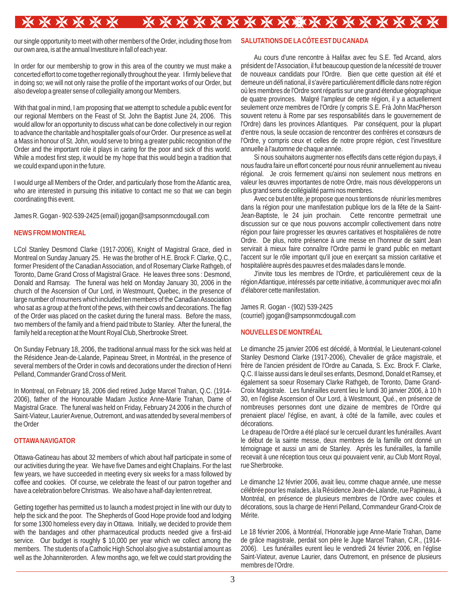# 

our single opportunity to meet with other members of the Order, including those from our own area, is at the annual Investiture in fall of each year.

In order for our membership to grow in this area of the country we must make a concerted effort to come together regionally throughout the year. I firmly believe that in doing so; we will not only raise the profile of the important works of our Order, but also develop a greater sense of collegiality among our Members.

With that goal in mind, I am proposing that we attempt to schedule a public event for our regional Members on the Feast of St. John the Baptist June 24, 2006. This would allow for an opportunity to discuss what can be done collectively in our region to advance the charitable and hospitaller goals of our Order. Our presence as well at a Mass in honour of St. John, would serve to bring a greater public recognition of the Order and the important role it plays in caring for the poor and sick of this world. While a modest first step, it would be my hope that this would begin a tradition that we could expand upon in the future.

I would urge all Members of the Order, and particularly those from the Atlantic area, who are interested in pursuing this initiative to contact me so that we can begin coordinating this event.

James R. Gogan - 902-539-2425 (email) jgogan@sampsonmcdougall.com

## **NEWS FROM MONTREAL**

LCol Stanley Desmond Clarke (1917-2006), Knight of Magistral Grace, died in Montreal on Sunday January 25. He was the brother of H.E. Brock F. Clarke, Q.C., former President of the Canadian Association, and of Rosemary Clarke Rathgeb, of Toronto, Dame Grand Cross of Magistral Grace. He leaves three sons : Desmond, Donald and Ramsay. The funeral was held on Monday January 30, 2006 in the church of the Ascension of Our Lord, in Westmount, Quebec, in the presence of large number of mourners which included ten members of the Canadian Association who sat as a group at the front of the pews, with their cowls and decorations. The flag of the Order was placed on the casket during the funeral mass. Before the mass, two members of the family and a friend paid tribute to Stanley. After the funeral, the family held a reception at the Mount Royal Club, Sherbrooke Street.

On Sunday February 18, 2006, the traditional annual mass for the sick was held at the Résidence Jean-de-Lalande, Papineau Street, in Montréal, in the presence of several members of the Order in cowls and decorations under the direction of Henri Pelland, Commander Grand Cross of Merit.

In Montreal, on February 18, 2006 died retired Judge Marcel Trahan, Q.C. (1914- 2006), father of the Honourable Madam Justice Anne-Marie Trahan, Dame of Magistral Grace. The funeral was held on Friday, February 24 2006 in the church of Saint-Viateur, Laurier Avenue, Outremont, and was attended by several members of the Order

### **OTTAWANAVIGATOR**

Ottawa-Gatineau has about 32 members of which about half participate in some of our activities during the year. We have five Dames and eight Chaplains. For the last few years, we have succeeded in meeting every six weeks for a mass followed by coffee and cookies. Of course, we celebrate the feast of our patron together and have a celebration before Christmas. We also have a half-day lenten retreat.

Getting together has permitted us to launch a modest project in line with our duty to help the sick and the poor. The Shepherds of Good Hope provide food and lodging for some 1300 homeless every day in Ottawa. Initially, we decided to provide them with the bandages and other pharmaceutical products needed give a first-aid service. Our budget is roughly \$ 10,000 per year which we collect among the members. The students of a Catholic High School also give a substantial amount as well as the Johanniterorden. Afew months ago, we felt we could start providing the

### **SALUTATIONS DE LACÔTE EST DU CANADA**

Au cours d'une rencontre à Halifax avec feu S.E. Ted Arcand, alors président de l'Association, il fut beaucoup question de la nécessité de trouver de nouveaux candidats pour l'Ordre. Bien que cette question ait été et demeure un défi national, il s'avère particulièrement difficile dans notre région où les membres de l'Ordre sont répartis sur une grand étendue géographique de quatre provinces. Malgré l'ampleur de cette région, il y a actuellement seulement onze membres de l'Ordre (y compris S.E. Frà John MacPherson souvent retenu à Rome par ses responsabilités dans le gouvernement de l'Ordre) dans les provinces Atlantiques. Par conséquent, pour la plupart d'entre nous, la seule occasion de rencontrer des confrères et consœurs de l'Ordre, y compris ceux et celles de notre propre région, c'est l'investiture annuelle à l'automne de chaque année.

Si nous souhaitons augmenter nos effectifs dans cette région du pays, il nous faudra faire un effort concerté pour nous réunir annuellement au niveau régional. Je crois fermement qu'ainsi non seulement nous mettrons en valeur les œuvres importantes de notre Ordre, mais nous développerons un plus grand sens de collégialité parmi nos membres.

Avec ce but en tête, je propose que nous tentions de réunir les membres dans la région pour une manifestation publique lors de la fête de la Saint-Jean-Baptiste, le 24 juin prochain. Cette rencontre permettrait une discussion sur ce que nous pouvons accomplir collectivement dans notre région pour faire progresser les œuvres caritatives et hospitalières de notre Ordre. De plus, notre présence à une messe en l'honneur de saint Jean servirait à mieux faire connaître l'Ordre parmi le grand public en mettant l'accent sur le rôle important qu'il joue en exerçant sa mission caritative et hospitalière auprès des pauvres et des malades dans le monde.

J'invite tous les membres de l'Ordre, et particulièrement ceux de la région Atlantique, intéressés par cette initiative, à communiquer avec moi afin d'élaborer cette manifestation.

James R. Gogan - (902) 539-2425 (courriel) jgogan@sampsonmcdougall.com

#### **NOUVELLES DE MONTRÉAL**

Le dimanche 25 janvier 2006 est décédé, à Montréal, le Lieutenant-colonel Stanley Desmond Clarke (1917-2006), Chevalier de grâce magistrale, et frère de l'ancien président de l'Ordre au Canada, S. Exc. Brock F. Clarke, Q.C. Il laisse aussi dans le deuil ses enfants, Desmond, Donald et Ramsey, et également sa soeur Rosemary Clarke Rathgeb, de Toronto, Dame Grand-Croix Magistrale. Les funérailles eurent lieu le lundi 30 janvier 2006, à 10 h 30, en l'église Ascension of Our Lord, à Westmount, Qué., en présence de nombreuses personnes dont une dizaine de membres de l'Ordre qui prenaient place/ l'église, en avant, à côté de la famille, avec coules et décorations.

Le drapeau de l'Ordre a été placé sur le cercueil durant les funérailles. Avant le début de la sainte messe, deux membres de la famille ont donné un témoignage et aussi un ami de Stanley. Après les funérailles, la famille recevait à une réception tous ceux qui pouvaient venir, au Club Mont Royal, rue Sherbrooke.

Le dimanche 12 février 2006, avait lieu, comme chaque année, une messe célébrée pour les malades, à la Résidence Jean-de-Lalande, rue Papineau, à Montréal, en présence de plusieurs membres de l'Ordre avec coules et décorations, sous la charge de Henri Pelland, Commandeur Grand-Croix de Mérite.

Le 18 février 2006, à Montréal, l'Honorable juge Anne-Marie Trahan, Dame de grâce magistrale, perdait son père le Juge Marcel Trahan, C.R., (1914- 2006). Les funérailles eurent lieu le vendredi 24 février 2006, en l'église Saint-Viateur, avenue Laurier, dans Outremont, en présence de plusieurs membres de l'Ordre.